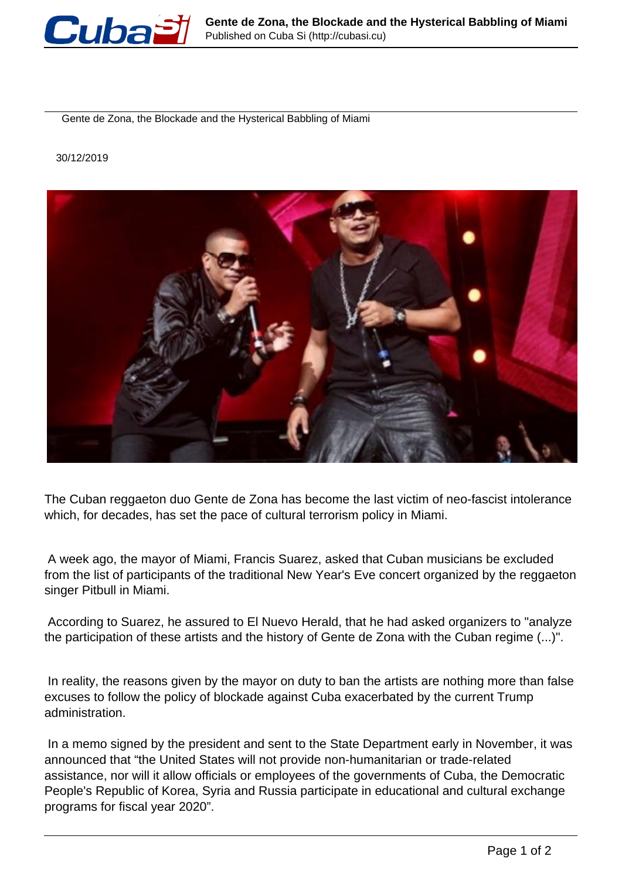

Gente de Zona, the Blockade and the Hysterical Babbling of Miami

30/12/2019



The Cuban reggaeton duo Gente de Zona has become the last victim of neo-fascist intolerance which, for decades, has set the pace of cultural terrorism policy in Miami.

 A week ago, the mayor of Miami, Francis Suarez, asked that Cuban musicians be excluded from the list of participants of the traditional New Year's Eve concert organized by the reggaeton singer Pitbull in Miami.

 According to Suarez, he assured to El Nuevo Herald, that he had asked organizers to "analyze the participation of these artists and the history of Gente de Zona with the Cuban regime (...)".

 In reality, the reasons given by the mayor on duty to ban the artists are nothing more than false excuses to follow the policy of blockade against Cuba exacerbated by the current Trump administration.

 In a memo signed by the president and sent to the State Department early in November, it was announced that "the United States will not provide non-humanitarian or trade-related assistance, nor will it allow officials or employees of the governments of Cuba, the Democratic People's Republic of Korea, Syria and Russia participate in educational and cultural exchange programs for fiscal year 2020".